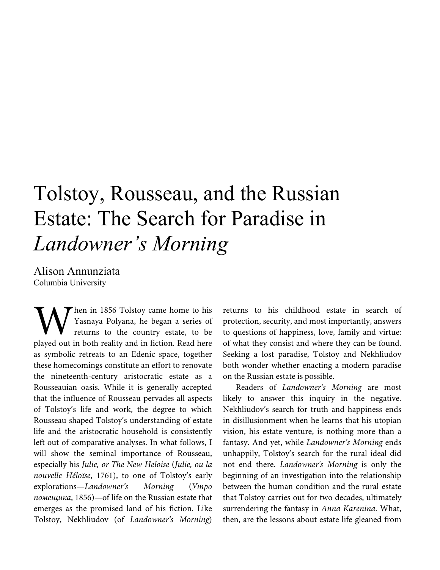## Tolstoy, Rousseau, and the Russian Estate: The Search for Paradise in *Landowner's Morning*

Alison Annunziata Columbia University

hen in 1856 Tolstoy came home to his Yasnaya Polyana, he began a series of returns to the country estate, to be When in 1856 Tolstoy came home to his<br>
Yasnaya Polyana, he began a series of<br>
returns to the country estate, to be<br>
played out in both reality and in fiction. Read here as symbolic retreats to an Edenic space, together these homecomings constitute an effort to renovate the nineteenth-century aristocratic estate as a Rousseauian oasis. While it is generally accepted that the influence of Rousseau pervades all aspects of Tolstoy's life and work, the degree to which Rousseau shaped Tolstoy's understanding of estate life and the aristocratic household is consistently left out of comparative analyses. In what follows, I will show the seminal importance of Rousseau, especially his *Julie, or The New Heloise* (*Julie, ou la nouvelle Héloïse*, 1761), to one of Tolstoy's early explorations—*Landowner's Morning* (*Утро помещика*, 1856)—of life on the Russian estate that emerges as the promised land of his fiction. Like Tolstoy, Nekhliudov (of *Landowner's Morning*)

returns to his childhood estate in search of protection, security, and most importantly, answers to questions of happiness, love, family and virtue: of what they consist and where they can be found. Seeking a lost paradise, Tolstoy and Nekhliudov both wonder whether enacting a modern paradise on the Russian estate is possible.

Readers of *Landowner's Morning* are most likely to answer this inquiry in the negative. Nekhliudov's search for truth and happiness ends in disillusionment when he learns that his utopian vision, his estate venture, is nothing more than a fantasy. And yet, while *Landowner's Morning* ends unhappily, Tolstoy's search for the rural ideal did not end there. *Landowner's Morning* is only the beginning of an investigation into the relationship between the human condition and the rural estate that Tolstoy carries out for two decades, ultimately surrendering the fantasy in *Anna Karenina*. What, then, are the lessons about estate life gleaned from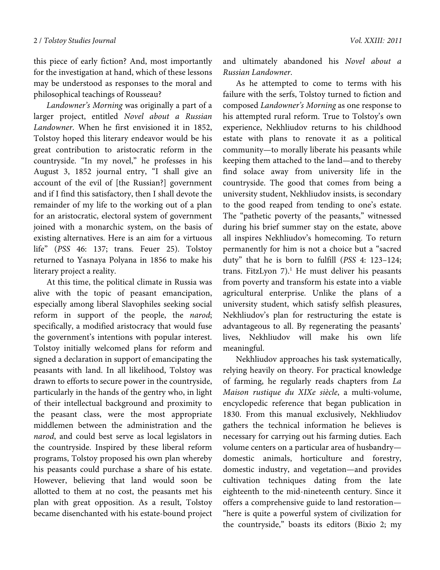this piece of early fiction? And, most importantly for the investigation at hand, which of these lessons may be understood as responses to the moral and philosophical teachings of Rousseau?

*Landowner's Morning* was originally a part of a larger project, entitled *Novel about a Russian Landowner*. When he first envisioned it in 1852, Tolstoy hoped this literary endeavor would be his great contribution to aristocratic reform in the countryside. "In my novel," he professes in his August 3, 1852 journal entry, "I shall give an account of the evil of [the Russian?] government and if I find this satisfactory, then I shall devote the remainder of my life to the working out of a plan for an aristocratic, electoral system of government joined with a monarchic system, on the basis of existing alternatives. Here is an aim for a virtuous life" (*PSS* 46: 137; trans. Feuer 25). Tolstoy returned to Yasnaya Polyana in 1856 to make his literary project a reality.

At this time, the political climate in Russia was alive with the topic of peasant emancipation, especially among liberal Slavophiles seeking social reform in support of the people, the *narod*; specifically, a modified aristocracy that would fuse the government's intentions with popular interest. Tolstoy initially welcomed plans for reform and signed a declaration in support of emancipating the peasants with land. In all likelihood, Tolstoy was drawn to efforts to secure power in the countryside, particularly in the hands of the gentry who, in light of their intellectual background and proximity to the peasant class, were the most appropriate middlemen between the administration and the *narod*, and could best serve as local legislators in the countryside. Inspired by these liberal reform programs, Tolstoy proposed his own plan whereby his peasants could purchase a share of his estate. However, believing that land would soon be allotted to them at no cost, the peasants met his plan with great opposition. As a result, Tolstoy became disenchanted with his estate-bound project and ultimately abandoned his *Novel about a Russian Landowner*.

As he attempted to come to terms with his failure with the serfs, Tolstoy turned to fiction and composed *Landowner's Morning* as one response to his attempted rural reform. True to Tolstoy's own experience, Nekhliudov returns to his childhood estate with plans to renovate it as a political community—to morally liberate his peasants while keeping them attached to the land—and to thereby find solace away from university life in the countryside. The good that comes from being a university student, Nekhliudov insists, is secondary to the good reaped from tending to one's estate. The "pathetic poverty of the peasants," witnessed during his brief summer stay on the estate, above all inspires Nekhliudov's homecoming. To return permanently for him is not a choice but a "sacred duty" that he is born to fulfill (*PSS* 4: 123–124; trans. FitzLyon  $7$ ).<sup>1</sup> He must deliver his peasants from poverty and transform his estate into a viable agricultural enterprise. Unlike the plans of a university student, which satisfy selfish pleasures, Nekhliudov's plan for restructuring the estate is advantageous to all. By regenerating the peasants' lives, Nekhliudov will make his own life meaningful.

Nekhliudov approaches his task systematically, relying heavily on theory. For practical knowledge of farming, he regularly reads chapters from *La Maison rustique du XIXe siècle*, a multi-volume, encyclopedic reference that began publication in 1830. From this manual exclusively, Nekhliudov gathers the technical information he believes is necessary for carrying out his farming duties. Each volume centers on a particular area of husbandry domestic animals, horticulture and forestry, domestic industry, and vegetation—and provides cultivation techniques dating from the late eighteenth to the mid-nineteenth century. Since it offers a comprehensive guide to land restoration— "here is quite a powerful system of civilization for the countryside," boasts its editors (Bixio 2; my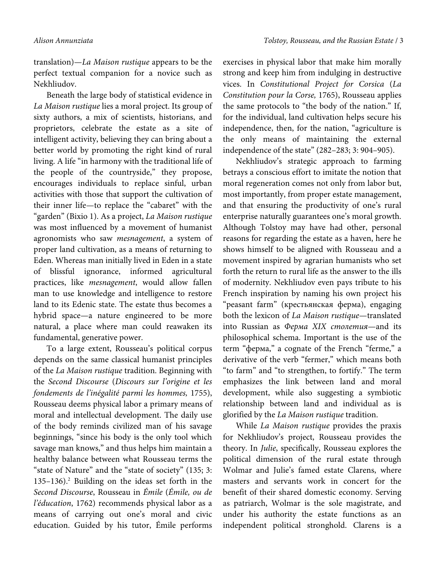translation)—*La Maison rustique* appears to be the perfect textual companion for a novice such as Nekhliudov.

Beneath the large body of statistical evidence in *La Maison rustique* lies a moral project. Its group of sixty authors, a mix of scientists, historians, and proprietors, celebrate the estate as a site of intelligent activity, believing they can bring about a better world by promoting the right kind of rural living. A life "in harmony with the traditional life of the people of the countryside," they propose, encourages individuals to replace sinful, urban activities with those that support the cultivation of their inner life—to replace the "cabaret" with the "garden" (Bixio 1). As a project, *La Maison rustique*  was most influenced by a movement of humanist agronomists who saw *mesnagement*, a system of proper land cultivation, as a means of returning to Eden. Whereas man initially lived in Eden in a state of blissful ignorance, informed agricultural practices, like *mesnagement*, would allow fallen man to use knowledge and intelligence to restore land to its Edenic state. The estate thus becomes a hybrid space—a nature engineered to be more natural, a place where man could reawaken its fundamental, generative power.

To a large extent, Rousseau's political corpus depends on the same classical humanist principles of the *La Maison rustique* tradition. Beginning with the *Second Discourse* (*Discours sur l'origine et les fondements de l'inégalité parmi les hommes,* 1755), Rousseau deems physical labor a primary means of moral and intellectual development. The daily use of the body reminds civilized man of his savage beginnings, "since his body is the only tool which savage man knows," and thus helps him maintain a healthy balance between what Rousseau terms the "state of Nature" and the "state of society" (135; 3: 135–136).2 Building on the ideas set forth in the *Second Discourse*, Rousseau in *Émile* (*Émile, ou de l'éducation*, 1762) recommends physical labor as a means of carrying out one's moral and civic education. Guided by his tutor, Émile performs

exercises in physical labor that make him morally strong and keep him from indulging in destructive vices. In *Constitutional Project for Corsica* (*La Constitution pour la Corse,* 1765), Rousseau applies the same protocols to "the body of the nation." If, for the individual, land cultivation helps secure his independence, then, for the nation, "agriculture is the only means of maintaining the external independence of the state" (282–283; 3: 904–905).

Nekhliudov's strategic approach to farming betrays a conscious effort to imitate the notion that moral regeneration comes not only from labor but, most importantly, from proper estate management, and that ensuring the productivity of one's rural enterprise naturally guarantees one's moral growth. Although Tolstoy may have had other, personal reasons for regarding the estate as a haven, here he shows himself to be aligned with Rousseau and a movement inspired by agrarian humanists who set forth the return to rural life as the answer to the ills of modernity. Nekhliudov even pays tribute to his French inspiration by naming his own project his "peasant farm" (крестьянская ферма), engaging both the lexicon of *La Maison rustique*—translated into Russian as *Ферма XIX столетия*—and its philosophical schema. Important is the use of the term "ферма," a cognate of the French "ferme," a derivative of the verb "fermer," which means both "to farm" and "to strengthen, to fortify." The term emphasizes the link between land and moral development, while also suggesting a symbiotic relationship between land and individual as is glorified by the *La Maison rustique* tradition.

While *La Maison rustique* provides the praxis for Nekhliudov's project, Rousseau provides the theory. In *Julie*, specifically, Rousseau explores the political dimension of the rural estate through Wolmar and Julie's famed estate Clarens, where masters and servants work in concert for the benefit of their shared domestic economy. Serving as patriarch, Wolmar is the sole magistrate, and under his authority the estate functions as an independent political stronghold. Clarens is a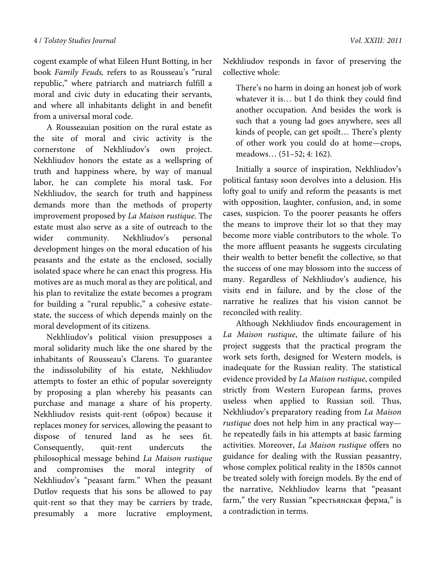cogent example of what Eileen Hunt Botting, in her book *Family Feuds,* refers to as Rousseau's "rural republic," where patriarch and matriarch fulfill a moral and civic duty in educating their servants, and where all inhabitants delight in and benefit from a universal moral code.

A Rousseauian position on the rural estate as the site of moral and civic activity is the cornerstone of Nekhliudov's own project. Nekhliudov honors the estate as a wellspring of truth and happiness where, by way of manual labor, he can complete his moral task. For Nekhliudov, the search for truth and happiness demands more than the methods of property improvement proposed by *La Maison rustique*. The estate must also serve as a site of outreach to the wider community. Nekhliudov's personal development hinges on the moral education of his peasants and the estate as the enclosed, socially isolated space where he can enact this progress. His motives are as much moral as they are political, and his plan to revitalize the estate becomes a program for building a "rural republic," a cohesive estatestate, the success of which depends mainly on the moral development of its citizens.

Nekhliudov's political vision presupposes a moral solidarity much like the one shared by the inhabitants of Rousseau's Clarens. To guarantee the indissolubility of his estate, Nekhliudov attempts to foster an ethic of popular sovereignty by proposing a plan whereby his peasants can purchase and manage a share of his property. Nekhliudov resists quit-rent (оброк) because it replaces money for services, allowing the peasant to dispose of tenured land as he sees fit. Consequently, quit-rent undercuts the philosophical message behind *La Maison rustique*  and compromises the moral integrity of Nekhliudov's "peasant farm." When the peasant Dutlov requests that his sons be allowed to pay quit-rent so that they may be carriers by trade, presumably a more lucrative employment,

Nekhliudov responds in favor of preserving the collective whole:

There's no harm in doing an honest job of work whatever it is… but I do think they could find another occupation. And besides the work is such that a young lad goes anywhere, sees all kinds of people, can get spoilt… There's plenty of other work you could do at home—crops, meadows… (51–52; 4: 162).

Initially a source of inspiration, Nekhliudov's political fantasy soon devolves into a delusion. His lofty goal to unify and reform the peasants is met with opposition, laughter, confusion, and, in some cases, suspicion. To the poorer peasants he offers the means to improve their lot so that they may become more viable contributors to the whole. To the more affluent peasants he suggests circulating their wealth to better benefit the collective, so that the success of one may blossom into the success of many. Regardless of Nekhliudov's audience, his visits end in failure, and by the close of the narrative he realizes that his vision cannot be reconciled with reality.

Although Nekhliudov finds encouragement in *La Maison rustique*, the ultimate failure of his project suggests that the practical program the work sets forth, designed for Western models, is inadequate for the Russian reality. The statistical evidence provided by *La Maison rustique*, compiled strictly from Western European farms, proves useless when applied to Russian soil. Thus, Nekhliudov's preparatory reading from *La Maison rustique* does not help him in any practical way he repeatedly fails in his attempts at basic farming activities. Moreover, *La Maison rustique* offers no guidance for dealing with the Russian peasantry, whose complex political reality in the 1850s cannot be treated solely with foreign models. By the end of the narrative, Nekhliudov learns that "peasant farm," the very Russian "крестьянская ферма," is a contradiction in terms.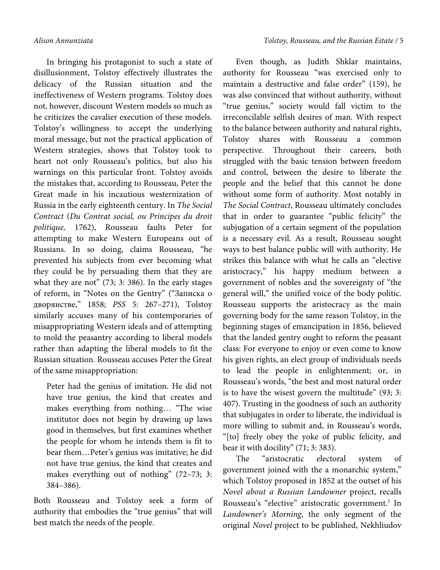In bringing his protagonist to such a state of disillusionment, Tolstoy effectively illustrates the delicacy of the Russian situation and the ineffectiveness of Western programs. Tolstoy does not, however, discount Western models so much as he criticizes the cavalier execution of these models. Tolstoy's willingness to accept the underlying moral message, but not the practical application of Western strategies, shows that Tolstoy took to heart not only Rousseau's politics, but also his warnings on this particular front. Tolstoy avoids the mistakes that, according to Rousseau, Peter the Great made in his incautious westernization of Russia in the early eighteenth century. In *The Social Contract* (*Du Contrat social, ou Principes du droit politique,* 1762), Rousseau faults Peter for attempting to make Western Europeans out of Russians. In so doing, claims Rousseau, "he prevented his subjects from ever becoming what they could be by persuading them that they are what they are not" (73; 3: 386). In the early stages of reform, in "Notes on the Gentry" ("Записка о дворянстве," 1858; *PSS* 5: 267–271), Tolstoy similarly accuses many of his contemporaries of misappropriating Western ideals and of attempting to mold the peasantry according to liberal models rather than adapting the liberal models to fit the Russian situation. Rousseau accuses Peter the Great of the same misappropriation:

Peter had the genius of imitation. He did not have true genius, the kind that creates and makes everything from nothing… "The wise institutor does not begin by drawing up laws good in themselves, but first examines whether the people for whom he intends them is fit to bear them…Peter's genius was imitative; he did not have true genius, the kind that creates and makes everything out of nothing" (72–73; 3: 384–386).

Both Rousseau and Tolstoy seek a form of authority that embodies the "true genius" that will best match the needs of the people.

Even though, as Judith Shklar maintains, authority for Rousseau "was exercised only to maintain a destructive and false order" (159), he was also convinced that without authority, without "true genius," society would fall victim to the irreconcilable selfish desires of man. With respect to the balance between authority and natural rights, Tolstoy shares with Rousseau a common perspective. Throughout their careers, both struggled with the basic tension between freedom and control, between the desire to liberate the people and the belief that this cannot be done without some form of authority. Most notably in *The Social Contract*, Rousseau ultimately concludes that in order to guarantee "public felicity" the subjugation of a certain segment of the population is a necessary evil. As a result, Rousseau sought ways to best balance public will with authority. He strikes this balance with what he calls an "elective aristocracy," his happy medium between a government of nobles and the sovereignty of "the general will," the unified voice of the body politic. Rousseau supports the aristocracy as the main governing body for the same reason Tolstoy, in the beginning stages of emancipation in 1856, believed that the landed gentry ought to reform the peasant class: For everyone to enjoy or even come to know his given rights, an elect group of individuals needs to lead the people in enlightenment; or, in Rousseau's words, "the best and most natural order is to have the wisest govern the multitude" (93; 3: 407). Trusting in the goodness of such an authority that subjugates in order to liberate, the individual is more willing to submit and, in Rousseau's words, "[to] freely obey the yoke of public felicity, and bear it with docility" (71; 3: 383).

The "aristocratic electoral system of government joined with the a monarchic system," which Tolstoy proposed in 1852 at the outset of his *Novel about a Russian Landowner* project, recalls Rousseau's "elective" aristocratic government.<sup>3</sup> In *Landowner's Morning*, the only segment of the original *Novel* project to be published, Nekhliudov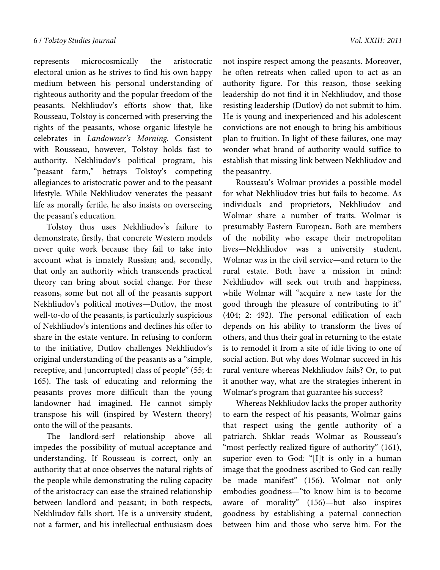represents microcosmically the aristocratic electoral union as he strives to find his own happy medium between his personal understanding of righteous authority and the popular freedom of the peasants. Nekhliudov's efforts show that, like Rousseau, Tolstoy is concerned with preserving the rights of the peasants, whose organic lifestyle he celebrates in *Landowner's Morning*. Consistent with Rousseau, however, Tolstoy holds fast to authority. Nekhliudov's political program, his "peasant farm," betrays Tolstoy's competing allegiances to aristocratic power and to the peasant lifestyle. While Nekhliudov venerates the peasant life as morally fertile, he also insists on overseeing the peasant's education.

Tolstoy thus uses Nekhliudov's failure to demonstrate, firstly, that concrete Western models never quite work because they fail to take into account what is innately Russian; and, secondly, that only an authority which transcends practical theory can bring about social change. For these reasons, some but not all of the peasants support Nekhliudov's political motives—Dutlov, the most well-to-do of the peasants, is particularly suspicious of Nekhliudov's intentions and declines his offer to share in the estate venture. In refusing to conform to the initiative, Dutlov challenges Nekhliudov's original understanding of the peasants as a "simple, receptive, and [uncorrupted] class of people" (55; 4: 165). The task of educating and reforming the peasants proves more difficult than the young landowner had imagined. He cannot simply transpose his will (inspired by Western theory) onto the will of the peasants.

The landlord-serf relationship above all impedes the possibility of mutual acceptance and understanding. If Rousseau is correct, only an authority that at once observes the natural rights of the people while demonstrating the ruling capacity of the aristocracy can ease the strained relationship between landlord and peasant; in both respects, Nekhliudov falls short. He is a university student, not a farmer, and his intellectual enthusiasm does

not inspire respect among the peasants. Moreover, he often retreats when called upon to act as an authority figure. For this reason, those seeking leadership do not find it in Nekhliudov, and those resisting leadership (Dutlov) do not submit to him. He is young and inexperienced and his adolescent convictions are not enough to bring his ambitious plan to fruition. In light of these failures, one may wonder what brand of authority would suffice to establish that missing link between Nekhliudov and the peasantry.

Rousseau's Wolmar provides a possible model for what Nekhliudov tries but fails to become. As individuals and proprietors, Nekhliudov and Wolmar share a number of traits. Wolmar is presumably Eastern European**.** Both are members of the nobility who escape their metropolitan lives—Nekhliudov was a university student, Wolmar was in the civil service—and return to the rural estate. Both have a mission in mind: Nekhliudov will seek out truth and happiness, while Wolmar will "acquire a new taste for the good through the pleasure of contributing to it" (404; 2: 492). The personal edification of each depends on his ability to transform the lives of others, and thus their goal in returning to the estate is to remodel it from a site of idle living to one of social action. But why does Wolmar succeed in his rural venture whereas Nekhliudov fails? Or, to put it another way, what are the strategies inherent in Wolmar's program that guarantee his success?

Whereas Nekhliudov lacks the proper authority to earn the respect of his peasants, Wolmar gains that respect using the gentle authority of a patriarch. Shklar reads Wolmar as Rousseau's "most perfectly realized figure of authority" (161), superior even to God: "[I]t is only in a human image that the goodness ascribed to God can really be made manifest" (156). Wolmar not only embodies goodness—"to know him is to become aware of morality" (156)—but also inspires goodness by establishing a paternal connection between him and those who serve him. For the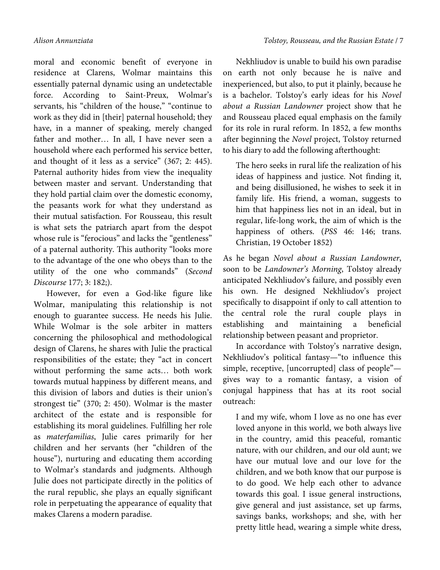moral and economic benefit of everyone in residence at Clarens, Wolmar maintains this essentially paternal dynamic using an undetectable force. According to Saint-Preux, Wolmar's servants, his "children of the house," "continue to work as they did in [their] paternal household; they have, in a manner of speaking, merely changed father and mother… In all, I have never seen a household where each performed his service better, and thought of it less as a service" (367; 2: 445). Paternal authority hides from view the inequality between master and servant. Understanding that they hold partial claim over the domestic economy, the peasants work for what they understand as their mutual satisfaction. For Rousseau, this result is what sets the patriarch apart from the despot whose rule is "ferocious" and lacks the "gentleness" of a paternal authority. This authority "looks more

to the advantage of the one who obeys than to the utility of the one who commands" (*Second Discourse* 177; 3: 182;).

However, for even a God-like figure like Wolmar, manipulating this relationship is not enough to guarantee success. He needs his Julie. While Wolmar is the sole arbiter in matters concerning the philosophical and methodological design of Clarens, he shares with Julie the practical responsibilities of the estate; they "act in concert without performing the same acts… both work towards mutual happiness by different means, and this division of labors and duties is their union's strongest tie" (370; 2: 450). Wolmar is the master architect of the estate and is responsible for establishing its moral guidelines. Fulfilling her role as *materfamilias*, Julie cares primarily for her children and her servants (her "children of the house"), nurturing and educating them according to Wolmar's standards and judgments. Although Julie does not participate directly in the politics of the rural republic, she plays an equally significant role in perpetuating the appearance of equality that makes Clarens a modern paradise.

Nekhliudov is unable to build his own paradise on earth not only because he is naïve and inexperienced, but also, to put it plainly, because he is a bachelor. Tolstoy's early ideas for his *Novel about a Russian Landowner* project show that he and Rousseau placed equal emphasis on the family for its role in rural reform. In 1852, a few months after beginning the *Novel* project, Tolstoy returned to his diary to add the following afterthought:

The hero seeks in rural life the realization of his ideas of happiness and justice. Not finding it, and being disillusioned, he wishes to seek it in family life. His friend, a woman, suggests to him that happiness lies not in an ideal, but in regular, life-long work, the aim of which is the happiness of others. (*PSS* 46: 146; trans. Christian, 19 October 1852)

As he began *Novel about a Russian Landowner*, soon to be *Landowner's Morning*, Tolstoy already anticipated Nekhliudov's failure, and possibly even his own. He designed Nekhliudov's project specifically to disappoint if only to call attention to the central role the rural couple plays in establishing and maintaining a beneficial relationship between peasant and proprietor.

In accordance with Tolstoy's narrative design, Nekhliudov's political fantasy—"to influence this simple, receptive, [uncorrupted] class of people" gives way to a romantic fantasy, a vision of conjugal happiness that has at its root social outreach:

I and my wife, whom I love as no one has ever loved anyone in this world, we both always live in the country, amid this peaceful, romantic nature, with our children, and our old aunt; we have our mutual love and our love for the children, and we both know that our purpose is to do good. We help each other to advance towards this goal. I issue general instructions, give general and just assistance, set up farms, savings banks, workshops; and she, with her pretty little head, wearing a simple white dress,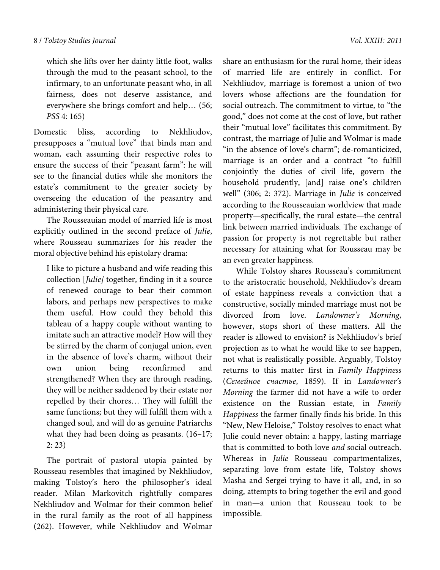which she lifts over her dainty little foot, walks through the mud to the peasant school, to the infirmary, to an unfortunate peasant who, in all fairness, does not deserve assistance, and everywhere she brings comfort and help… (56; *PSS* 4: 165)

Domestic bliss, according to Nekhliudov, presupposes a "mutual love" that binds man and woman, each assuming their respective roles to ensure the success of their "peasant farm": he will see to the financial duties while she monitors the estate's commitment to the greater society by overseeing the education of the peasantry and administering their physical care.

The Rousseauian model of married life is most explicitly outlined in the second preface of *Julie*, where Rousseau summarizes for his reader the moral objective behind his epistolary drama:

I like to picture a husband and wife reading this collection [*Julie]* together, finding in it a source of renewed courage to bear their common labors, and perhaps new perspectives to make them useful. How could they behold this tableau of a happy couple without wanting to imitate such an attractive model? How will they be stirred by the charm of conjugal union, even in the absence of love's charm, without their own union being reconfirmed and strengthened? When they are through reading, they will be neither saddened by their estate nor repelled by their chores… They will fulfill the same functions; but they will fulfill them with a changed soul, and will do as genuine Patriarchs what they had been doing as peasants. (16–17; 2: 23)

The portrait of pastoral utopia painted by Rousseau resembles that imagined by Nekhliudov, making Tolstoy's hero the philosopher's ideal reader. Milan Markovitch rightfully compares Nekhliudov and Wolmar for their common belief in the rural family as the root of all happiness (262). However, while Nekhliudov and Wolmar

share an enthusiasm for the rural home, their ideas of married life are entirely in conflict. For Nekhliudov, marriage is foremost a union of two lovers whose affections are the foundation for social outreach. The commitment to virtue, to "the good," does not come at the cost of love, but rather their "mutual love" facilitates this commitment. By contrast, the marriage of Julie and Wolmar is made "in the absence of love's charm"; de-romanticized, marriage is an order and a contract "to fulfill conjointly the duties of civil life, govern the household prudently, [and] raise one's children well" (306; 2: 372). Marriage in *Julie* is conceived according to the Rousseauian worldview that made property—specifically, the rural estate—the central link between married individuals. The exchange of passion for property is not regrettable but rather necessary for attaining what for Rousseau may be an even greater happiness.

While Tolstoy shares Rousseau's commitment to the aristocratic household, Nekhliudov's dream of estate happiness reveals a conviction that a constructive, socially minded marriage must not be divorced from love. *Landowner's Morning*, however, stops short of these matters. All the reader is allowed to envision? is Nekhliudov's brief projection as to what he would like to see happen, not what is realistically possible. Arguably, Tolstoy returns to this matter first in *Family Happiness* (*Семейное счастье*, 1859). If in *Landowner's Morning* the farmer did not have a wife to order existence on the Russian estate, in *Family Happiness* the farmer finally finds his bride. In this "New, New Heloise," Tolstoy resolves to enact what Julie could never obtain: a happy, lasting marriage that is committed to both love *and* social outreach. Whereas in *Julie* Rousseau compartmentalizes, separating love from estate life, Tolstoy shows Masha and Sergei trying to have it all, and, in so doing, attempts to bring together the evil and good in man—a union that Rousseau took to be impossible.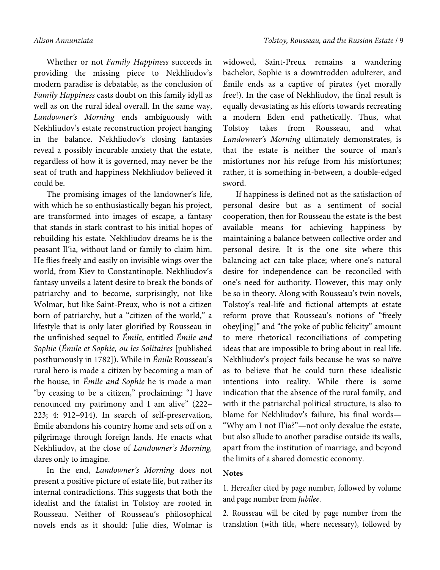Whether or not *Family Happiness* succeeds in providing the missing piece to Nekhliudov's modern paradise is debatable, as the conclusion of *Family Happiness* casts doubt on this family idyll as well as on the rural ideal overall. In the same way, *Landowner's Morning* ends ambiguously with Nekhliudov's estate reconstruction project hanging in the balance. Nekhliudov's closing fantasies reveal a possibly incurable anxiety that the estate, regardless of how it is governed, may never be the seat of truth and happiness Nekhliudov believed it could be.

The promising images of the landowner's life, with which he so enthusiastically began his project, are transformed into images of escape, a fantasy that stands in stark contrast to his initial hopes of rebuilding his estate. Nekhliudov dreams he is the peasant Il'ia, without land or family to claim him. He flies freely and easily on invisible wings over the world, from Kiev to Constantinople. Nekhliudov's fantasy unveils a latent desire to break the bonds of patriarchy and to become, surprisingly, not like Wolmar, but like Saint-Preux, who is not a citizen born of patriarchy, but a "citizen of the world," a lifestyle that is only later glorified by Rousseau in the unfinished sequel to *Émile*, entitled *Émile and Sophie* (*Émile et Sophie, ou les Solitaires* [published posthumously in 1782]). While in *Émile* Rousseau's rural hero is made a citizen by becoming a man of the house, in *Émile and Sophie* he is made a man "by ceasing to be a citizen," proclaiming: "I have renounced my patrimony and I am alive" (222– 223; 4: 912–914). In search of self-preservation, Émile abandons his country home and sets off on a pilgrimage through foreign lands. He enacts what Nekhliudov, at the close of *Landowner's Morning,* dares only to imagine.

In the end, *Landowner's Morning* does not present a positive picture of estate life, but rather its internal contradictions. This suggests that both the idealist and the fatalist in Tolstoy are rooted in Rousseau. Neither of Rousseau's philosophical novels ends as it should: Julie dies, Wolmar is

widowed, Saint-Preux remains a wandering bachelor, Sophie is a downtrodden adulterer, and Émile ends as a captive of pirates (yet morally free!). In the case of Nekhliudov, the final result is equally devastating as his efforts towards recreating a modern Eden end pathetically. Thus, what Tolstoy takes from Rousseau, and what *Landowner's Morning* ultimately demonstrates, is that the estate is neither the source of man's misfortunes nor his refuge from his misfortunes; rather, it is something in-between, a double-edged sword.

If happiness is defined not as the satisfaction of personal desire but as a sentiment of social cooperation, then for Rousseau the estate is the best available means for achieving happiness by maintaining a balance between collective order and personal desire. It is the one site where this balancing act can take place; where one's natural desire for independence can be reconciled with one's need for authority. However, this may only be so in theory. Along with Rousseau's twin novels, Tolstoy's real-life and fictional attempts at estate reform prove that Rousseau's notions of "freely obey[ing]" and "the yoke of public felicity" amount to mere rhetorical reconciliations of competing ideas that are impossible to bring about in real life. Nekhliudov's project fails because he was so naïve as to believe that he could turn these idealistic intentions into reality. While there is some indication that the absence of the rural family, and with it the patriarchal political structure, is also to blame for Nekhliudov's failure, his final words— "Why am I not Il'ia?"—not only devalue the estate, but also allude to another paradise outside its walls, apart from the institution of marriage, and beyond the limits of a shared domestic economy.

## **Notes**

1. Hereafter cited by page number, followed by volume and page number from *Jubilee*.

2. Rousseau will be cited by page number from the translation (with title, where necessary), followed by